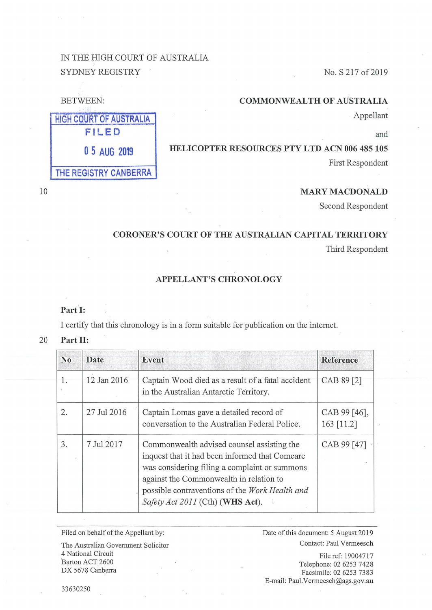# IN THE BIGH COURT OF AUSTRALIA SYDNEY REGISTRY No. S 217 of 2019

### **COMMONWEALTH OF AUSTRALIA**

. Appellant

and

## **HELICOPTER RESOURCES PTY LTD ACN 006 485 105**

First Respondent

## **MARY MACDONALD**

Second Respondent

# **CORONER'S COURT OF THE AUSTRALIAN CAPITAL TERRITORY**

Third Respondent

## **APPELLANT'S CHRONOLOGY**

### **Part I:**

I certify that this chronology is in a form suitable for publication on the internet.

#### 20 **Part II:**

| N <sub>0</sub> | <b>Date</b> | Event                                                                                                                                                                                                                                                                          | <b>Reference</b>           |
|----------------|-------------|--------------------------------------------------------------------------------------------------------------------------------------------------------------------------------------------------------------------------------------------------------------------------------|----------------------------|
|                | 12 Jan 2016 | Captain Wood died as a result of a fatal accident<br>in the Australian Antarctic Territory.                                                                                                                                                                                    | CAB 89 [2]                 |
| 2.             | 27 Jul 2016 | Captain Lomas gave a detailed record of<br>conversation to the Australian Federal Police.                                                                                                                                                                                      | CAB 99 [46],<br>163 [11.2] |
| 3.             | 7 Jul 2017  | Commonwealth advised counsel assisting the<br>inquest that it had been informed that Comcare<br>was considering filing a complaint or summons<br>against the Commonwealth in relation to<br>possible contraventions of the Work Health and<br>Safety Act 2011 (Cth) (WHS Act). | CAB 99 [47]                |

Filed on behalf of the Appellant by: Date of this document: 5 August 2019 The Australian Government Solicitor Contact: Paul Vermeesch

4 National Circuit Barton ACT 2600 DX 5678 Canberra

File ref: 19004717 Telephone: 02 6253 7428 Facsimile: 02 6253 7383 E-mail: Paul.Vermeesch@ags.gov.au

BETWEEN:

**HIGH COURT OF AUSTRALIA FILED 0 5 AUG 2019 THE REGISTRY CANBERRA** 

10

33630250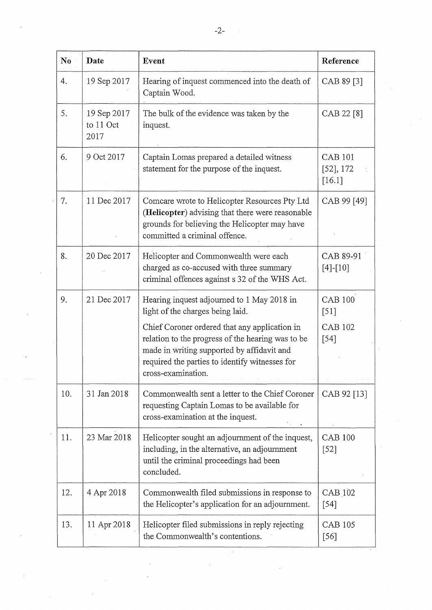| N <sub>0</sub> | Date                             | Event                                                                                                                                                                                                                    | Reference                             |
|----------------|----------------------------------|--------------------------------------------------------------------------------------------------------------------------------------------------------------------------------------------------------------------------|---------------------------------------|
| 4.             | 19 Sep 2017                      | Hearing of inquest commenced into the death of<br>Captain Wood.                                                                                                                                                          | CAB 89 [3]                            |
| 5.             | 19 Sep 2017<br>to 11 Oct<br>2017 | The bulk of the evidence was taken by the<br>inquest.                                                                                                                                                                    | CAB 22 [8]                            |
| 6.             | 9 Oct 2017                       | Captain Lomas prepared a detailed witness<br>statement for the purpose of the inquest.                                                                                                                                   | <b>CAB 101</b><br>[52], 172<br>[16.1] |
| 7.             | 11 Dec 2017                      | Comcare wrote to Helicopter Resources Pty Ltd<br>(Helicopter) advising that there were reasonable<br>grounds for believing the Helicopter may have<br>committed a criminal offence.                                      | CAB 99 [49]                           |
| 8.             | 20 Dec 2017                      | Helicopter and Commonwealth were each<br>charged as co-accused with three summary<br>criminal offences against s 32 of the WHS Act.                                                                                      | CAB 89-91<br>$[4]-[10]$               |
| 9.             | 21 Dec 2017                      | Hearing inquest adjourned to 1 May 2018 in<br>light of the charges being laid.                                                                                                                                           | <b>CAB 100</b><br>$[51]$              |
|                |                                  | Chief Coroner ordered that any application in<br>relation to the progress of the hearing was to be<br>made in writing supported by affidavit and<br>required the parties to identify witnesses for<br>cross-examination. | <b>CAB 102</b><br>$[54]$              |
| 10.            | 31 Jan 2018                      | Commonwealth sent a letter to the Chief Coroner<br>requesting Captain Lomas to be available for<br>cross-examination at the inquest.                                                                                     | CAB 92 [13]                           |
| 11.            | 23 Mar 2018                      | Helicopter sought an adjournment of the inquest,<br>including, in the alternative, an adjournment<br>until the criminal proceedings had been<br>concluded.                                                               | <b>CAB 100</b><br>[52]                |
| 12.            | 4 Apr 2018                       | Commonwealth filed submissions in response to<br>the Helicopter's application for an adjournment.                                                                                                                        | <b>CAB 102</b><br>$[54]$              |
| 13.            | 11 Apr 2018                      | Helicopter filed submissions in reply rejecting<br>the Commonwealth's contentions.                                                                                                                                       | <b>CAB 105</b><br>[56]                |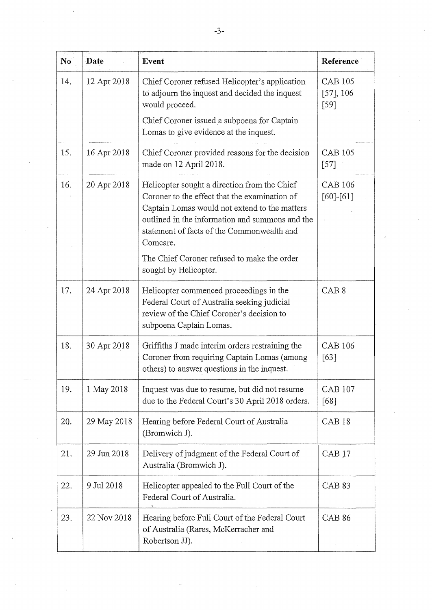| N <sub>0</sub> | Date        | Event                                                                                                                                                                                                                                                       | Reference                                |
|----------------|-------------|-------------------------------------------------------------------------------------------------------------------------------------------------------------------------------------------------------------------------------------------------------------|------------------------------------------|
| 14.            | 12 Apr 2018 | Chief Coroner refused Helicopter's application<br>to adjourn the inquest and decided the inquest<br>would proceed.                                                                                                                                          | <b>CAB 105</b><br>$[57]$ , 106<br>$[59]$ |
|                |             | Chief Coroner issued a subpoena for Captain<br>Lomas to give evidence at the inquest.                                                                                                                                                                       |                                          |
| 15.            | 16 Apr 2018 | Chief Coroner provided reasons for the decision<br>made on 12 April 2018.                                                                                                                                                                                   | <b>CAB 105</b><br>$[57]$                 |
| 16.            | 20 Apr 2018 | Helicopter sought a direction from the Chief<br>Coroner to the effect that the examination of<br>Captain Lomas would not extend to the matters<br>outlined in the information and summons and the<br>statement of facts of the Commonwealth and<br>Comcare. | <b>CAB 106</b><br>$[60]$ - $[61]$        |
|                |             | The Chief Coroner refused to make the order<br>sought by Helicopter.                                                                                                                                                                                        |                                          |
| 17.            | 24 Apr 2018 | Helicopter commenced proceedings in the<br>Federal Court of Australia seeking judicial<br>review of the Chief Coroner's decision to<br>subpoena Captain Lomas.                                                                                              | CAB <sub>8</sub>                         |
| 18.            | 30 Apr 2018 | Griffiths J made interim orders restraining the<br>Coroner from requiring Captain Lomas (among<br>others) to answer questions in the inquest.                                                                                                               | <b>CAB 106</b><br>[63]                   |
| 19.            | 1 May 2018  | Inquest was due to resume, but did not resume<br>due to the Federal Court's 30 April 2018 orders.                                                                                                                                                           | <b>CAB 107</b><br>[68]                   |
| 20.            | 29 May 2018 | Hearing before Federal Court of Australia<br>(Bromwich J).                                                                                                                                                                                                  | CAB <sub>18</sub>                        |
| 21.            | 29 Jun 2018 | Delivery of judgment of the Federal Court of<br>Australia (Bromwich J).                                                                                                                                                                                     | CAB <sub>17</sub>                        |
| 22.            | 9 Jul 2018  | Helicopter appealed to the Full Court of the<br>Federal Court of Australia.                                                                                                                                                                                 | CAB <sub>83</sub>                        |
| 23.            | 22 Nov 2018 | Hearing before Full Court of the Federal Court<br>of Australia (Rares, McKerracher and<br>Robertson JJ).                                                                                                                                                    | <b>CAB 86</b>                            |